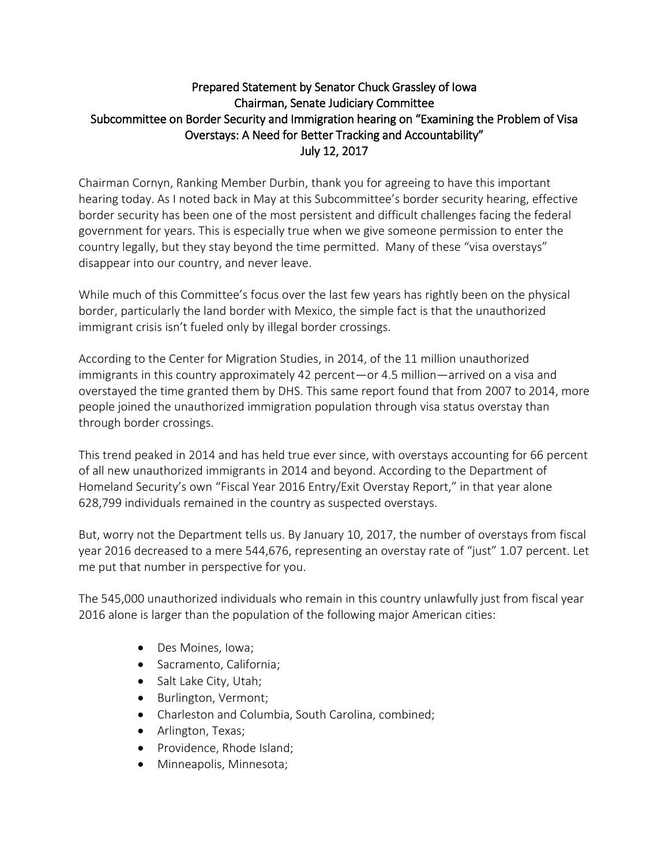## Prepared Statement by Senator Chuck Grassley of Iowa Chairman, Senate Judiciary Committee Subcommittee on Border Security and Immigration hearing on "Examining the Problem of Visa Overstays: A Need for Better Tracking and Accountability" July 12, 2017

Chairman Cornyn, Ranking Member Durbin, thank you for agreeing to have this important hearing today. As I noted back in May at this Subcommittee's border security hearing, effective border security has been one of the most persistent and difficult challenges facing the federal government for years. This is especially true when we give someone permission to enter the country legally, but they stay beyond the time permitted. Many of these "visa overstays" disappear into our country, and never leave.

While much of this Committee's focus over the last few years has rightly been on the physical border, particularly the land border with Mexico, the simple fact is that the unauthorized immigrant crisis isn't fueled only by illegal border crossings.

According to the Center for Migration Studies, in 2014, of the 11 million unauthorized immigrants in this country approximately 42 percent—or 4.5 million—arrived on a visa and overstayed the time granted them by DHS. This same report found that from 2007 to 2014, more people joined the unauthorized immigration population through visa status overstay than through border crossings.

This trend peaked in 2014 and has held true ever since, with overstays accounting for 66 percent of all new unauthorized immigrants in 2014 and beyond. According to the Department of Homeland Security's own "Fiscal Year 2016 Entry/Exit Overstay Report," in that year alone 628,799 individuals remained in the country as suspected overstays.

But, worry not the Department tells us. By January 10, 2017, the number of overstays from fiscal year 2016 decreased to a mere 544,676, representing an overstay rate of "just" 1.07 percent. Let me put that number in perspective for you.

The 545,000 unauthorized individuals who remain in this country unlawfully just from fiscal year 2016 alone is larger than the population of the following major American cities:

- Des Moines, Iowa;
- Sacramento, California;
- Salt Lake City, Utah;
- Burlington, Vermont;
- Charleston and Columbia, South Carolina, combined;
- Arlington, Texas;
- Providence, Rhode Island;
- Minneapolis, Minnesota;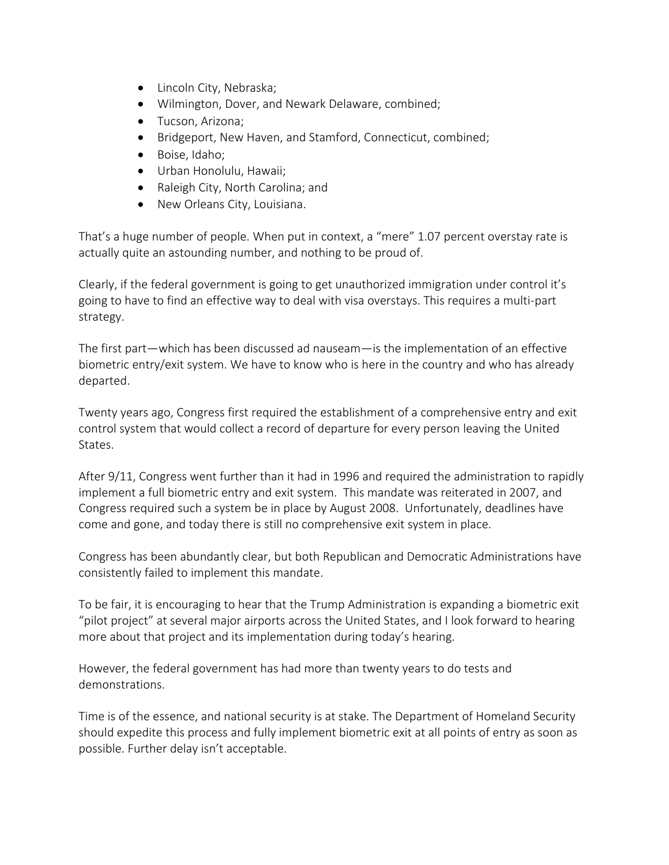- Lincoln City, Nebraska;
- Wilmington, Dover, and Newark Delaware, combined;
- **•** Tucson, Arizona;
- Bridgeport, New Haven, and Stamford, Connecticut, combined;
- Boise, Idaho;
- Urban Honolulu, Hawaii;
- Raleigh City, North Carolina; and
- New Orleans City, Louisiana.

That's a huge number of people. When put in context, a "mere" 1.07 percent overstay rate is actually quite an astounding number, and nothing to be proud of.

Clearly, if the federal government is going to get unauthorized immigration under control it's going to have to find an effective way to deal with visa overstays. This requires a multi-part strategy.

The first part—which has been discussed ad nauseam—is the implementation of an effective biometric entry/exit system. We have to know who is here in the country and who has already departed.

Twenty years ago, Congress first required the establishment of a comprehensive entry and exit control system that would collect a record of departure for every person leaving the United States.

After 9/11, Congress went further than it had in 1996 and required the administration to rapidly implement a full biometric entry and exit system. This mandate was reiterated in 2007, and Congress required such a system be in place by August 2008. Unfortunately, deadlines have come and gone, and today there is still no comprehensive exit system in place.

Congress has been abundantly clear, but both Republican and Democratic Administrations have consistently failed to implement this mandate.

To be fair, it is encouraging to hear that the Trump Administration is expanding a biometric exit "pilot project" at several major airports across the United States, and I look forward to hearing more about that project and its implementation during today's hearing.

However, the federal government has had more than twenty years to do tests and demonstrations.

Time is of the essence, and national security is at stake. The Department of Homeland Security should expedite this process and fully implement biometric exit at all points of entry as soon as possible. Further delay isn't acceptable.